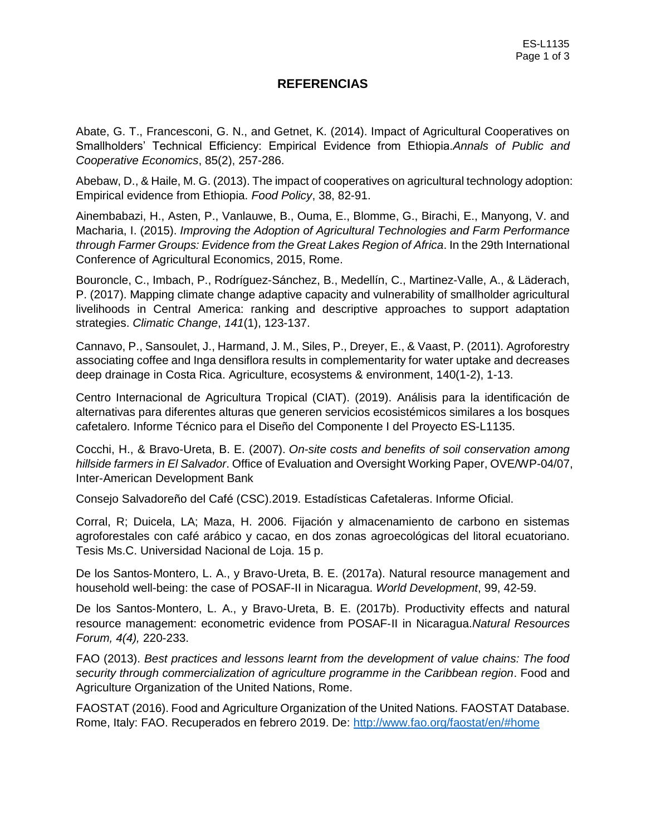## **REFERENCIAS**

Abate, G. T., Francesconi, G. N., and Getnet, K. (2014). Impact of Agricultural Cooperatives on Smallholders' Technical Efficiency: Empirical Evidence from Ethiopia.*Annals of Public and Cooperative Economics*, 85(2), 257-286.

Abebaw, D., & Haile, M. G. (2013). The impact of cooperatives on agricultural technology adoption: Empirical evidence from Ethiopia. *Food Policy*, 38, 82-91.

Ainembabazi, H., Asten, P., Vanlauwe, B., Ouma, E., Blomme, G., Birachi, E., Manyong, V. and Macharia, I. (2015). *Improving the Adoption of Agricultural Technologies and Farm Performance through Farmer Groups: Evidence from the Great Lakes Region of Africa*. In the 29th International Conference of Agricultural Economics, 2015, Rome.

Bouroncle, C., Imbach, P., Rodríguez-Sánchez, B., Medellín, C., Martinez-Valle, A., & Läderach, P. (2017). Mapping climate change adaptive capacity and vulnerability of smallholder agricultural livelihoods in Central America: ranking and descriptive approaches to support adaptation strategies. *Climatic Change*, *141*(1), 123-137.

Cannavo, P., Sansoulet, J., Harmand, J. M., Siles, P., Dreyer, E., & Vaast, P. (2011). Agroforestry associating coffee and Inga densiflora results in complementarity for water uptake and decreases deep drainage in Costa Rica. Agriculture, ecosystems & environment, 140(1-2), 1-13.

Centro Internacional de Agricultura Tropical (CIAT). (2019). Análisis para la identificación de alternativas para diferentes alturas que generen servicios ecosistémicos similares a los bosques cafetalero. Informe Técnico para el Diseño del Componente I del Proyecto ES-L1135.

Cocchi, H., & Bravo-Ureta, B. E. (2007). *On-site costs and benefits of soil conservation among hillside farmers in El Salvador*. Office of Evaluation and Oversight Working Paper, OVE/WP-04/07, Inter-American Development Bank

Consejo Salvadoreño del Café (CSC).2019. Estadísticas Cafetaleras. Informe Oficial.

Corral, R; Duicela, LA; Maza, H. 2006. Fijación y almacenamiento de carbono en sistemas agroforestales con café arábico y cacao, en dos zonas agroecológicas del litoral ecuatoriano. Tesis Ms.C. Universidad Nacional de Loja. 15 p.

De los Santos-Montero, L. A., y Bravo-Ureta, B. E. (2017a). Natural resource management and household well-being: the case of POSAF-II in Nicaragua. *World Development*, 99, 42-59.

De los Santos-Montero, L. A., y Bravo-Ureta, B. E. (2017b). Productivity effects and natural resource management: econometric evidence from POSAF‐II in Nicaragua.*Natural Resources Forum, 4(4),* 220-233.

FAO (2013). *Best practices and lessons learnt from the development of value chains: The food security through commercialization of agriculture programme in the Caribbean region*. Food and Agriculture Organization of the United Nations, Rome.

FAOSTAT (2016). Food and Agriculture Organization of the United Nations. FAOSTAT Database. Rome, Italy: FAO. Recuperados en febrero 2019. De:<http://www.fao.org/faostat/en/#home>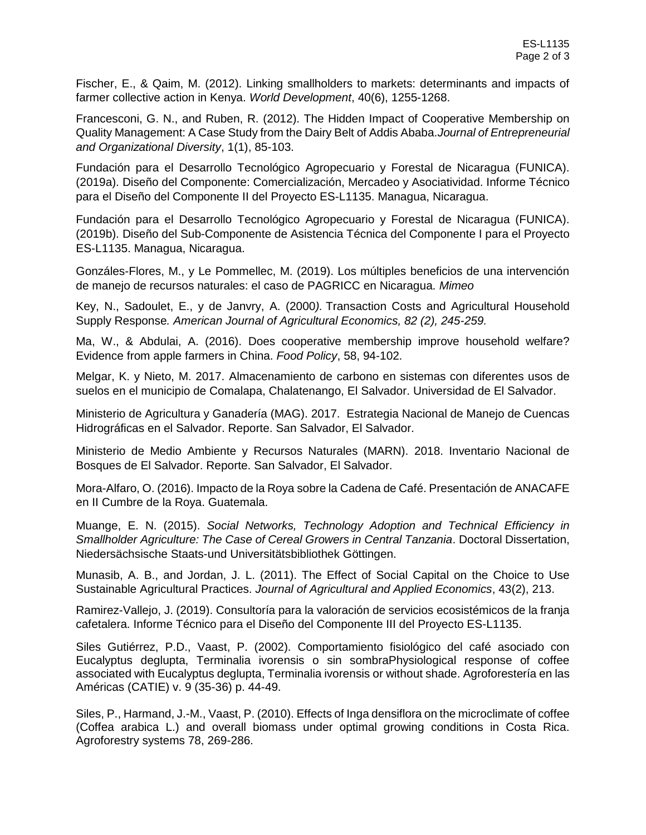Fischer, E., & Qaim, M. (2012). Linking smallholders to markets: determinants and impacts of farmer collective action in Kenya. *World Development*, 40(6), 1255-1268.

Francesconi, G. N., and Ruben, R. (2012). The Hidden Impact of Cooperative Membership on Quality Management: A Case Study from the Dairy Belt of Addis Ababa.*Journal of Entrepreneurial and Organizational Diversity*, 1(1), 85-103.

Fundación para el Desarrollo Tecnológico Agropecuario y Forestal de Nicaragua (FUNICA). (2019a). Diseño del Componente: Comercialización, Mercadeo y Asociatividad. Informe Técnico para el Diseño del Componente II del Proyecto ES-L1135. Managua, Nicaragua.

Fundación para el Desarrollo Tecnológico Agropecuario y Forestal de Nicaragua (FUNICA). (2019b). Diseño del Sub-Componente de Asistencia Técnica del Componente I para el Proyecto ES-L1135. Managua, Nicaragua.

Gonzáles-Flores, M., y Le Pommellec, M. (2019). Los múltiples beneficios de una intervención de manejo de recursos naturales: el caso de PAGRICC en Nicaragua. *Mimeo*

Key, N., Sadoulet, E., y de Janvry, A. (2000*).* Transaction Costs and Agricultural Household Supply Response*. American Journal of Agricultural Economics, 82 (2), 245-259.*

Ma, W., & Abdulai, A. (2016). Does cooperative membership improve household welfare? Evidence from apple farmers in China. *Food Policy*, 58, 94-102.

Melgar, K. y Nieto, M. 2017. Almacenamiento de carbono en sistemas con diferentes usos de suelos en el municipio de Comalapa, Chalatenango, El Salvador. Universidad de El Salvador.

Ministerio de Agricultura y Ganadería (MAG). 2017. Estrategia Nacional de Manejo de Cuencas Hidrográficas en el Salvador. Reporte. San Salvador, El Salvador.

Ministerio de Medio Ambiente y Recursos Naturales (MARN). 2018. Inventario Nacional de Bosques de El Salvador. Reporte. San Salvador, El Salvador.

Mora-Alfaro, O. (2016). Impacto de la Roya sobre la Cadena de Café. Presentación de ANACAFE en II Cumbre de la Roya. Guatemala.

Muange, E. N. (2015). *Social Networks, Technology Adoption and Technical Efficiency in Smallholder Agriculture: The Case of Cereal Growers in Central Tanzania*. Doctoral Dissertation, Niedersächsische Staats-und Universitätsbibliothek Göttingen.

Munasib, A. B., and Jordan, J. L. (2011). The Effect of Social Capital on the Choice to Use Sustainable Agricultural Practices. *Journal of Agricultural and Applied Economics*, 43(2), 213.

Ramirez-Vallejo, J. (2019). Consultoría para la valoración de servicios ecosistémicos de la franja cafetalera. Informe Técnico para el Diseño del Componente III del Proyecto ES-L1135.

Siles Gutiérrez, P.D., Vaast, P. (2002). Comportamiento fisiológico del café asociado con Eucalyptus deglupta, Terminalia ivorensis o sin sombraPhysiological response of coffee associated with Eucalyptus deglupta, Terminalia ivorensis or without shade. Agroforestería en las Américas (CATIE) v. 9 (35-36) p. 44-49.

Siles, P., Harmand, J.-M., Vaast, P. (2010). Effects of Inga densiflora on the microclimate of coffee (Coffea arabica L.) and overall biomass under optimal growing conditions in Costa Rica. Agroforestry systems 78, 269-286.